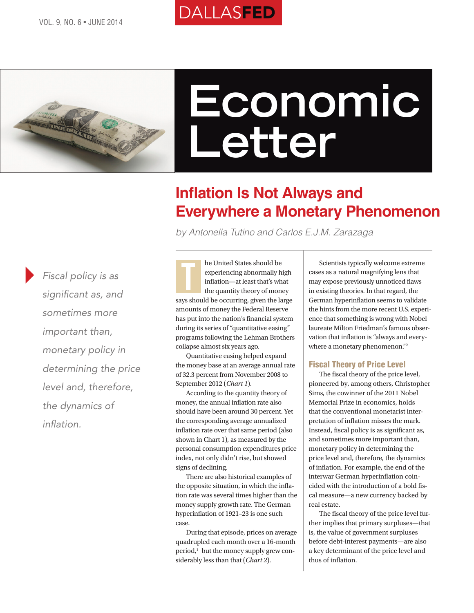# DALLASFED



# **Economic Letter**

# **Inflation Is Not Always and Everywhere a Monetary Phenomenon**

*by Antonella Tutino and Carlos E.J.M. Zarazaga*

*Fiscal policy is as significant as, and sometimes more important than, monetary policy in determining the price level and, therefore, the dynamics of inflation.*

he United States should be experiencing abnormally high inflation—at least that's what the quantity theory of money says should be occurring, given the large amounts of money the Federal Reserve has put into the nation's financial system during its series of "quantitative easing" programs following the Lehman Brothers collapse almost six years ago. T

Quantitative easing helped expand the money base at an average annual rate of 32.3 percent from November 2008 to September 2012 (*Chart 1*).

According to the quantity theory of money, the annual inflation rate also should have been around 30 percent. Yet the corresponding average annualized inflation rate over that same period (also shown in Chart 1), as measured by the personal consumption expenditures price index, not only didn't rise, but showed signs of declining.

There are also historical examples of the opposite situation, in which the inflation rate was several times higher than the money supply growth rate. The German hyperinflation of 1921–23 is one such case.

During that episode, prices on average quadrupled each month over a 16-month period,<sup>1</sup> but the money supply grew considerably less than that (*Chart 2*).

Scientists typically welcome extreme cases as a natural magnifying lens that may expose previously unnoticed flaws in existing theories. In that regard, the German hyperinflation seems to validate the hints from the more recent U.S. experience that something is wrong with Nobel laureate Milton Friedman's famous observation that inflation is "always and everywhere a monetary phenomenon."<sup>2</sup>

#### Fiscal Theory of Price Level

The fiscal theory of the price level, pioneered by, among others, Christopher Sims, the cowinner of the 2011 Nobel Memorial Prize in economics, holds that the conventional monetarist interpretation of inflation misses the mark. Instead, fiscal policy is as significant as, and sometimes more important than, monetary policy in determining the price level and, therefore, the dynamics of inflation. For example, the end of the interwar German hyperinflation coincided with the introduction of a bold fiscal measure—a new currency backed by real estate.

The fiscal theory of the price level further implies that primary surpluses—that is, the value of government surpluses before debt-interest payments—are also a key determinant of the price level and thus of inflation.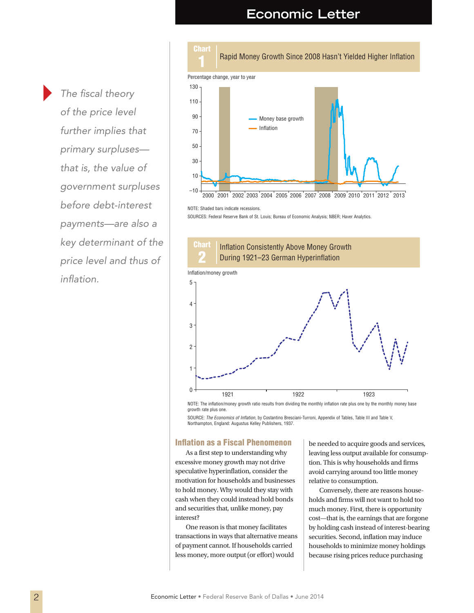## **Economic Letter**

*The fiscal theory of the price level further implies that primary surpluses that is, the value of government surpluses before debt-interest payments—are also a key determinant of the price level and thus of inflation.*



#### NOTE: Shaded bars indicate recessions.

SOURCES: Federal Reserve Bank of St. Louis; Bureau of Economic Analysis; NBER; Haver Analytics.



NOTE: The inflation/money growth ratio results from dividing the monthly inflation rate plus one by the monthly money base growth rate plus one.

SOURCE: *The Economics of Inflation*, by Costantino Bresciani-Turroni, Appendix of Tables, Table III and Table V,<br>Northampton, England: Augustus Kelley Publishers, 1937.

#### Inflation as a Fiscal Phenomenon

As a first step to understanding why excessive money growth may not drive speculative hyperinflation, consider the motivation for households and businesses to hold money. Why would they stay with cash when they could instead hold bonds and securities that, unlike money, pay interest?

One reason is that money facilitates transactions in ways that alternative means of payment cannot. If households carried less money, more output (or effort) would

be needed to acquire goods and services, leaving less output available for consumption. This is why households and firms avoid carrying around too little money relative to consumption.

Conversely, there are reasons households and firms will not want to hold too much money. First, there is opportunity cost—that is, the earnings that are forgone by holding cash instead of interest-bearing securities. Second, inflation may induce households to minimize money holdings because rising prices reduce purchasing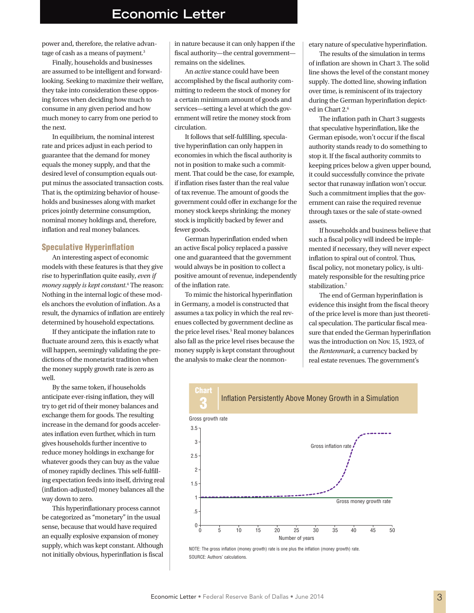## **Economic Letter**

power and, therefore, the relative advantage of cash as a means of payment.<sup>3</sup>

Finally, households and businesses are assumed to be intelligent and forwardlooking. Seeking to maximize their welfare, they take into consideration these opposing forces when deciding how much to consume in any given period and how much money to carry from one period to the next.

In equilibrium, the nominal interest rate and prices adjust in each period to guarantee that the demand for money equals the money supply, and that the desired level of consumption equals output minus the associated transaction costs. That is, the optimizing behavior of households and businesses along with market prices jointly determine consumption, nominal money holdings and, therefore, inflation and real money balances.

#### Speculative Hyperinflation

An interesting aspect of economic models with these features is that they give rise to hyperinflation quite easily, *even if money supply is kept constant*. 4 The reason: Nothing in the internal logic of these models anchors the evolution of inflation. As a result, the dynamics of inflation are entirely determined by household expectations.

If they anticipate the inflation rate to fluctuate around zero, this is exactly what will happen, seemingly validating the predictions of the monetarist tradition when the money supply growth rate is zero as well.

By the same token, if households anticipate ever-rising inflation, they will try to get rid of their money balances and exchange them for goods. The resulting increase in the demand for goods accelerates inflation even further, which in turn gives households further incentive to reduce money holdings in exchange for whatever goods they can buy as the value of money rapidly declines. This self-fulfilling expectation feeds into itself, driving real (inflation-adjusted) money balances all the way down to zero.

This hyperinflationary process cannot be categorized as "monetary" in the usual sense, because that would have required an equally explosive expansion of money supply, which was kept constant. Although not initially obvious, hyperinflation is fiscal in nature because it can only happen if the fiscal authority—the central government remains on the sidelines.

An *active* stance could have been accomplished by the fiscal authority committing to redeem the stock of money for a certain minimum amount of goods and services—setting a level at which the government will retire the money stock from circulation.

It follows that self-fulfilling, speculative hyperinflation can only happen in economies in which the fiscal authority is not in position to make such a commitment. That could be the case, for example, if inflation rises faster than the real value of tax revenue. The amount of goods the government could offer in exchange for the money stock keeps shrinking; the money stock is implicitly backed by fewer and fewer goods.

German hyperinflation ended when an active fiscal policy replaced a passive one and guaranteed that the government would always be in position to collect a positive amount of revenue, independently of the inflation rate.

To mimic the historical hyperinflation in Germany, a model is constructed that assumes a tax policy in which the real revenues collected by government decline as the price level rises.<sup>5</sup> Real money balances also fall as the price level rises because the money supply is kept constant throughout the analysis to make clear the nonmonetary nature of speculative hyperinflation.

The results of the simulation in terms of inflation are shown in Chart 3. The solid line shows the level of the constant money supply. The dotted line, showing inflation over time, is reminiscent of its trajectory during the German hyperinflation depicted in Chart 2.<sup>6</sup>

The inflation path in Chart 3 suggests that speculative hyperinflation, like the German episode, won't occur if the fiscal authority stands ready to do something to stop it. If the fiscal authority commits to keeping prices below a given upper bound, it could successfully convince the private sector that runaway inflation won't occur. Such a commitment implies that the government can raise the required revenue through taxes or the sale of state-owned assets.

If households and business believe that such a fiscal policy will indeed be implemented if necessary, they will never expect inflation to spiral out of control. Thus, fiscal policy, not monetary policy, is ultimately responsible for the resulting price stabilization.<sup>7</sup>

The end of German hyperinflation is evidence this insight from the fiscal theory of the price level is more than just theoretical speculation. The particular fiscal measure that ended the German hyperinflation was the introduction on Nov. 15, 1923, of the *Rentenmark*, a currency backed by real estate revenues. The government's



NOTE: The gross inflation (money growth) rate is one plus the inflation (money growth) rate. SOURCE: Authors' calculations.